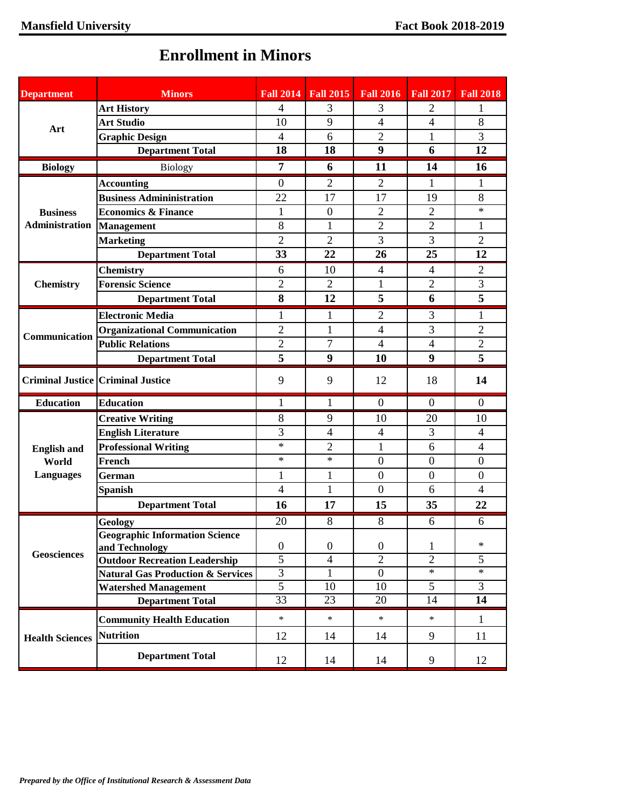## **Enrollment in Minors**

| <b>Department</b>                               | <b>Minors</b>                                           | <b>Fall 2014</b> | <b>Fall 2015</b>        | <b>Fall 2016</b> | <b>Fall 2017</b> | <b>Fall 2018</b> |
|-------------------------------------------------|---------------------------------------------------------|------------------|-------------------------|------------------|------------------|------------------|
| Art                                             | <b>Art History</b>                                      | 4                | 3                       | 3                | 2                | 1                |
|                                                 | <b>Art Studio</b>                                       | 10               | 9                       | $\overline{4}$   | $\overline{4}$   | 8                |
|                                                 | <b>Graphic Design</b>                                   | 4                | 6                       | $\overline{2}$   | 1                | 3                |
|                                                 | <b>Department Total</b>                                 | 18               | 18                      | $\overline{9}$   | $\overline{6}$   | 12               |
| <b>Biology</b>                                  | <b>Biology</b>                                          | 7                | 6                       | 11               | 14               | 16               |
| <b>Business</b><br><b>Administration</b>        | <b>Accounting</b>                                       | $\Omega$         | $\overline{2}$          | 2                | 1                | 1                |
|                                                 | <b>Business Admininistration</b>                        | 22               | 17                      | 17               | 19               | 8                |
|                                                 | <b>Economics &amp; Finance</b>                          | $\mathbf{1}$     | $\boldsymbol{0}$        | $\overline{2}$   | $\overline{2}$   | $\ast$           |
|                                                 | <b>Management</b>                                       | 8                | 1                       | $\overline{2}$   | $\overline{2}$   | 1                |
|                                                 | <b>Marketing</b>                                        | $\overline{2}$   | $\overline{2}$          | 3                | 3                | $\overline{2}$   |
|                                                 | <b>Department Total</b>                                 | 33               | 22                      | 26               | 25               | 12               |
| <b>Chemistry</b>                                | <b>Chemistry</b>                                        | 6                | 10                      | $\overline{4}$   | $\overline{4}$   | $\overline{2}$   |
|                                                 | <b>Forensic Science</b>                                 | $\overline{2}$   | $\overline{2}$          | $\mathbf{1}$     | $\overline{2}$   | 3                |
|                                                 | <b>Department Total</b>                                 | 8                | 12                      | 5                | 6                | 5                |
| Communication                                   | <b>Electronic Media</b>                                 | 1                | 1                       | $\overline{2}$   | 3                | 1                |
|                                                 | <b>Organizational Communication</b>                     | $\overline{2}$   | 1                       | $\overline{4}$   | 3                | $\overline{2}$   |
|                                                 | <b>Public Relations</b>                                 | $\overline{2}$   | $\overline{7}$          | $\overline{4}$   | $\overline{4}$   | $\overline{2}$   |
|                                                 | <b>Department Total</b>                                 | 5                | 9                       | 10               | 9                | 5                |
|                                                 | <b>Criminal Justice Criminal Justice</b>                | 9                | 9                       | 12               | 18               | 14               |
| <b>Education</b>                                | <b>Education</b>                                        | 1                | 1                       | $\theta$         | $\overline{0}$   | $\Omega$         |
|                                                 | <b>Creative Writing</b>                                 | 8                | 9                       | 10               | 20               | 10               |
| <b>English and</b><br>World<br><b>Languages</b> | <b>English Literature</b>                               | $\overline{3}$   | $\overline{\mathbf{4}}$ | $\overline{4}$   | 3                | $\overline{4}$   |
|                                                 | <b>Professional Writing</b>                             | $\ast$           | $\overline{2}$          | $\mathbf{1}$     | 6                | $\overline{4}$   |
|                                                 | French                                                  | $\ast$           | $\ast$                  | $\mathbf{0}$     | $\boldsymbol{0}$ | $\boldsymbol{0}$ |
|                                                 | German                                                  | $\mathbf{1}$     | $\mathbf{1}$            | $\overline{0}$   | $\overline{0}$   | $\boldsymbol{0}$ |
|                                                 | <b>Spanish</b>                                          | $\overline{4}$   | 1                       | $\boldsymbol{0}$ | 6                | 4                |
|                                                 | <b>Department Total</b>                                 | 16               | 17                      | 15               | 35               | 22               |
| <b>Geosciences</b>                              | <b>Geology</b>                                          | 20               | 8                       | 8                | 6                | 6                |
|                                                 | <b>Geographic Information Science</b><br>and Technology | $\boldsymbol{0}$ | $\boldsymbol{0}$        | $\overline{0}$   | $\mathbf{1}$     | $\ast$           |
|                                                 | <b>Outdoor Recreation Leadership</b>                    | $\overline{5}$   | $\overline{4}$          | $\overline{2}$   | $\overline{2}$   | $\overline{5}$   |
|                                                 | <b>Natural Gas Production &amp; Services</b>            | $\overline{3}$   | $\mathbf{1}$            | $\overline{0}$   | $\ast$           | $\ast$           |
|                                                 | <b>Watershed Management</b>                             | $\overline{5}$   | 10                      | 10               | $\overline{5}$   | $\overline{3}$   |
|                                                 | <b>Department Total</b>                                 | 33               | 23                      | 20               | 14               | 14               |
| <b>Health Sciences</b>                          | <b>Community Health Education</b>                       | $\ast$           | $\ast$                  | $\ast$           | $\ast$           | $\mathbf{1}$     |
|                                                 | <b>Nutrition</b>                                        | 12               | 14                      | 14               | 9                | 11               |
|                                                 | <b>Department Total</b>                                 | 12               | 14                      | 14               | 9                | 12               |